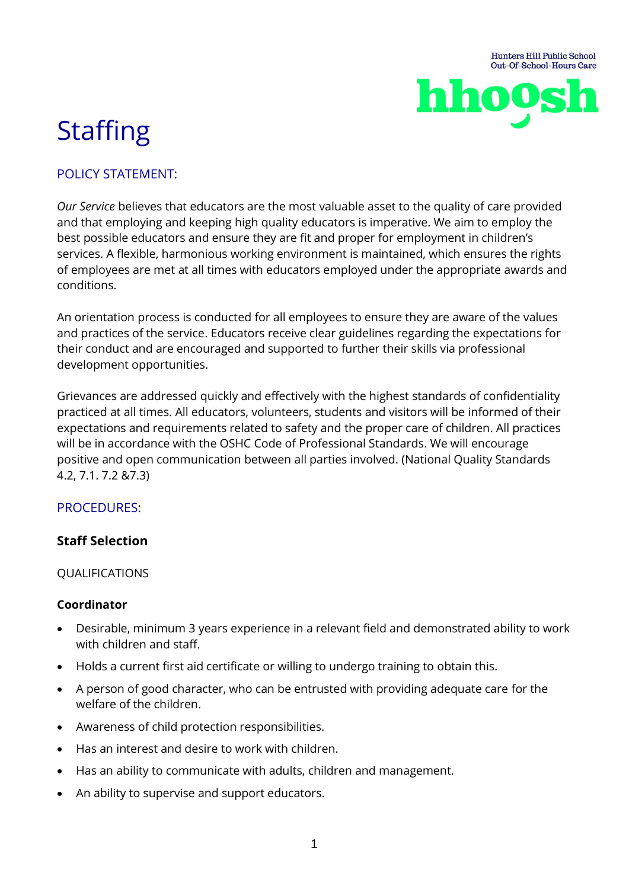

# **Staffing**

# POLICY STATEMENT:

*Our Service* believes that educators are the most valuable asset to the quality of care provided and that employing and keeping high quality educators is imperative. We aim to employ the best possible educators and ensure they are fit and proper for employment in children's services. A flexible, harmonious working environment is maintained, which ensures the rights of employees are met at all times with educators employed under the appropriate awards and conditions.

An orientation process is conducted for all employees to ensure they are aware of the values and practices of the service. Educators receive clear guidelines regarding the expectations for their conduct and are encouraged and supported to further their skills via professional development opportunities.

Grievances are addressed quickly and effectively with the highest standards of confidentiality practiced at all times. All educators, volunteers, students and visitors will be informed of their expectations and requirements related to safety and the proper care of children. All practices will be in accordance with the OSHC Code of Professional Standards. We will encourage positive and open communication between all parties involved. (National Quality Standards 4.2, 7.1. 7.2 &7.3)

# PROCEDURES:

#### **Staff Selection**

#### QUALIFICATIONS

#### **Coordinator**

- Desirable, minimum 3 years experience in a relevant field and demonstrated ability to work with children and staff.
- Holds a current first aid certificate or willing to undergo training to obtain this.
- A person of good character, who can be entrusted with providing adequate care for the welfare of the children.
- Awareness of child protection responsibilities.
- Has an interest and desire to work with children.
- Has an ability to communicate with adults, children and management.
- An ability to supervise and support educators.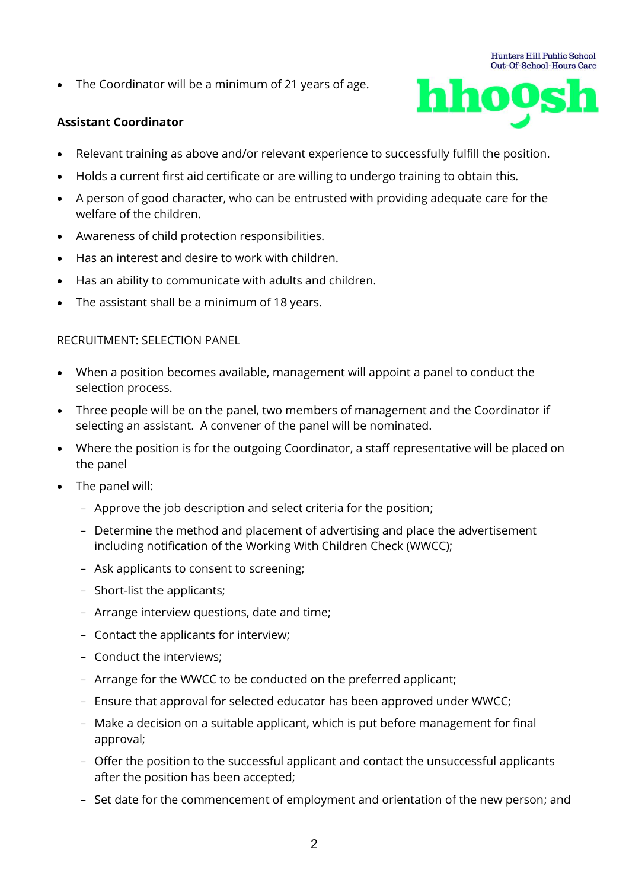• The Coordinator will be a minimum of 21 years of age.

#### **Assistant Coordinator**



- Relevant training as above and/or relevant experience to successfully fulfill the position.
- Holds a current first aid certificate or are willing to undergo training to obtain this.
- A person of good character, who can be entrusted with providing adequate care for the welfare of the children.
- Awareness of child protection responsibilities.
- Has an interest and desire to work with children.
- Has an ability to communicate with adults and children.
- The assistant shall be a minimum of 18 years.

#### RECRUITMENT: SELECTION PANEL

- When a position becomes available, management will appoint a panel to conduct the selection process.
- Three people will be on the panel, two members of management and the Coordinator if selecting an assistant. A convener of the panel will be nominated.
- Where the position is for the outgoing Coordinator, a staff representative will be placed on the panel
- The panel will:
	- Approve the job description and select criteria for the position;
	- Determine the method and placement of advertising and place the advertisement including notification of the Working With Children Check (WWCC);
	- Ask applicants to consent to screening;
	- Short-list the applicants;
	- Arrange interview questions, date and time;
	- Contact the applicants for interview;
	- Conduct the interviews;
	- Arrange for the WWCC to be conducted on the preferred applicant;
	- Ensure that approval for selected educator has been approved under WWCC;
	- Make a decision on a suitable applicant, which is put before management for final approval;
	- Offer the position to the successful applicant and contact the unsuccessful applicants after the position has been accepted;
	- Set date for the commencement of employment and orientation of the new person; and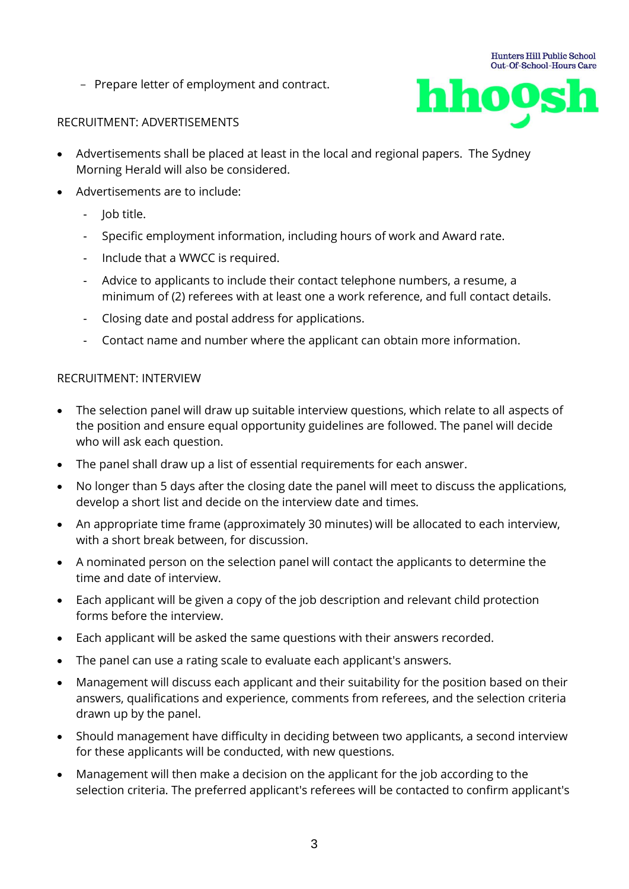- Prepare letter of employment and contract.



#### RECRUITMENT: ADVERTISEMENTS

- Advertisements shall be placed at least in the local and regional papers. The Sydney Morning Herald will also be considered.
- Advertisements are to include:
	- Job title.
	- Specific employment information, including hours of work and Award rate.
	- Include that a WWCC is required.
	- Advice to applicants to include their contact telephone numbers, a resume, a minimum of (2) referees with at least one a work reference, and full contact details.
	- Closing date and postal address for applications.
	- Contact name and number where the applicant can obtain more information.

#### RECRUITMENT: INTERVIEW

- The selection panel will draw up suitable interview questions, which relate to all aspects of the position and ensure equal opportunity guidelines are followed. The panel will decide who will ask each question.
- The panel shall draw up a list of essential requirements for each answer.
- No longer than 5 days after the closing date the panel will meet to discuss the applications, develop a short list and decide on the interview date and times.
- An appropriate time frame (approximately 30 minutes) will be allocated to each interview, with a short break between, for discussion.
- A nominated person on the selection panel will contact the applicants to determine the time and date of interview.
- Each applicant will be given a copy of the job description and relevant child protection forms before the interview.
- Each applicant will be asked the same questions with their answers recorded.
- The panel can use a rating scale to evaluate each applicant's answers.
- Management will discuss each applicant and their suitability for the position based on their answers, qualifications and experience, comments from referees, and the selection criteria drawn up by the panel.
- Should management have difficulty in deciding between two applicants, a second interview for these applicants will be conducted, with new questions.
- Management will then make a decision on the applicant for the job according to the selection criteria. The preferred applicant's referees will be contacted to confirm applicant's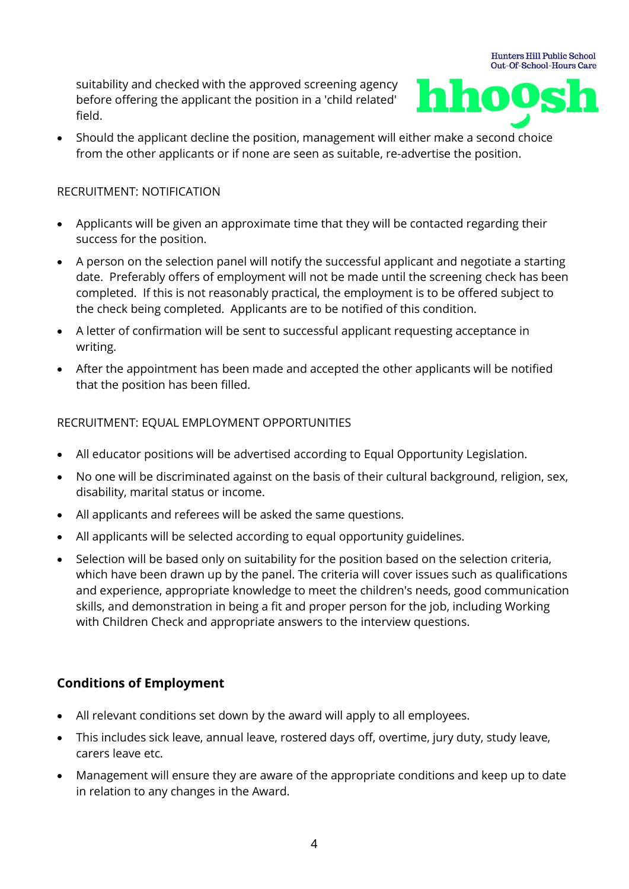suitability and checked with the approved screening agency before offering the applicant the position in a 'child related' field.



**Hunters Hill Public School** 

• Should the applicant decline the position, management will either make a second choice from the other applicants or if none are seen as suitable, re-advertise the position.

#### RECRUITMENT: NOTIFICATION

- Applicants will be given an approximate time that they will be contacted regarding their success for the position.
- A person on the selection panel will notify the successful applicant and negotiate a starting date. Preferably offers of employment will not be made until the screening check has been completed. If this is not reasonably practical, the employment is to be offered subject to the check being completed. Applicants are to be notified of this condition.
- A letter of confirmation will be sent to successful applicant requesting acceptance in writing.
- After the appointment has been made and accepted the other applicants will be notified that the position has been filled.

#### RECRUITMENT: EQUAL EMPLOYMENT OPPORTUNITIES

- All educator positions will be advertised according to Equal Opportunity Legislation.
- No one will be discriminated against on the basis of their cultural background, religion, sex, disability, marital status or income.
- All applicants and referees will be asked the same questions.
- All applicants will be selected according to equal opportunity guidelines.
- Selection will be based only on suitability for the position based on the selection criteria, which have been drawn up by the panel. The criteria will cover issues such as qualifications and experience, appropriate knowledge to meet the children's needs, good communication skills, and demonstration in being a fit and proper person for the job, including Working with Children Check and appropriate answers to the interview questions.

# **Conditions of Employment**

- All relevant conditions set down by the award will apply to all employees.
- This includes sick leave, annual leave, rostered days off, overtime, jury duty, study leave, carers leave etc.
- Management will ensure they are aware of the appropriate conditions and keep up to date in relation to any changes in the Award.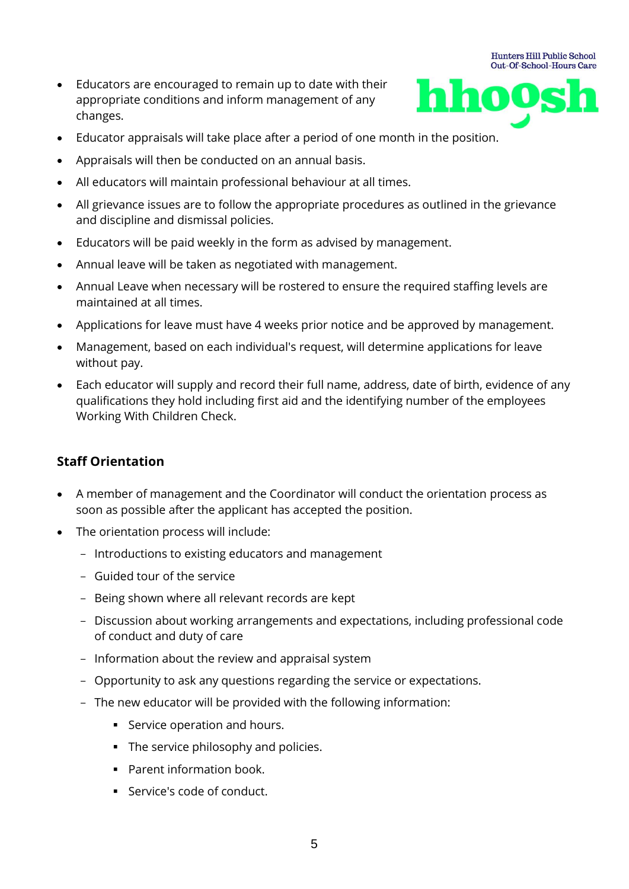• Educators are encouraged to remain up to date with their appropriate conditions and inform management of any changes.



**Hunters Hill Public School** 

- Educator appraisals will take place after a period of one month in the position.
- Appraisals will then be conducted on an annual basis.
- All educators will maintain professional behaviour at all times.
- All grievance issues are to follow the appropriate procedures as outlined in the grievance and discipline and dismissal policies.
- Educators will be paid weekly in the form as advised by management.
- Annual leave will be taken as negotiated with management.
- Annual Leave when necessary will be rostered to ensure the required staffing levels are maintained at all times.
- Applications for leave must have 4 weeks prior notice and be approved by management.
- Management, based on each individual's request, will determine applications for leave without pay.
- Each educator will supply and record their full name, address, date of birth, evidence of any qualifications they hold including first aid and the identifying number of the employees Working With Children Check.

#### **Staff Orientation**

- A member of management and the Coordinator will conduct the orientation process as soon as possible after the applicant has accepted the position.
- The orientation process will include:
	- Introductions to existing educators and management
	- Guided tour of the service
	- Being shown where all relevant records are kept
	- Discussion about working arrangements and expectations, including professional code of conduct and duty of care
	- Information about the review and appraisal system
	- Opportunity to ask any questions regarding the service or expectations.
	- The new educator will be provided with the following information:
		- **EXEC** Service operation and hours.
		- **•** The service philosophy and policies.
		- Parent information book.
		- Service's code of conduct.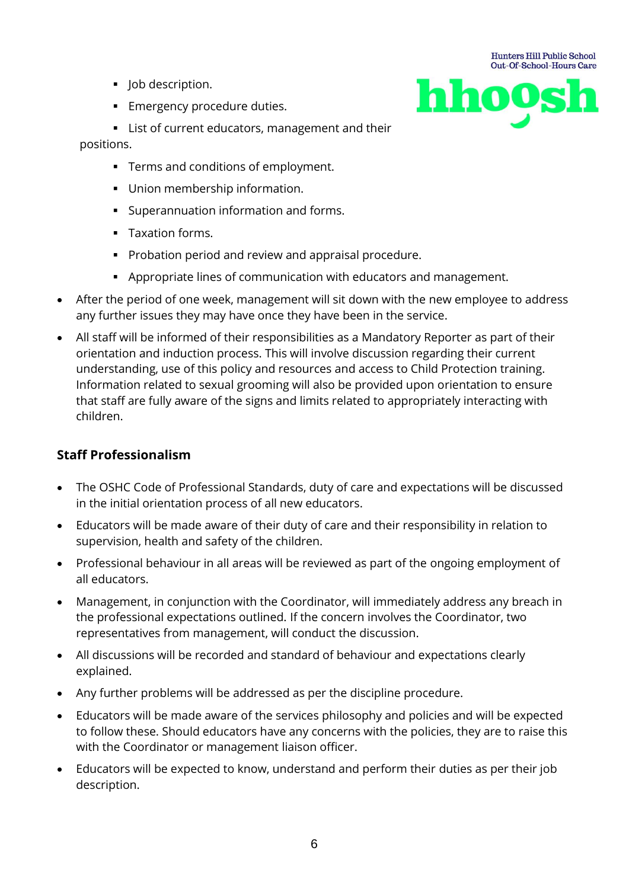- **·** Job description.
- **Emergency procedure duties.**



- List of current educators, management and their positions.
	- Terms and conditions of employment.
	- Union membership information.
	- Superannuation information and forms.
	- Taxation forms.
	- Probation period and review and appraisal procedure.
	- Appropriate lines of communication with educators and management.
- After the period of one week, management will sit down with the new employee to address any further issues they may have once they have been in the service.
- All staff will be informed of their responsibilities as a Mandatory Reporter as part of their orientation and induction process. This will involve discussion regarding their current understanding, use of this policy and resources and access to Child Protection training. Information related to sexual grooming will also be provided upon orientation to ensure that staff are fully aware of the signs and limits related to appropriately interacting with children.

# **Staff Professionalism**

- The OSHC Code of Professional Standards, duty of care and expectations will be discussed in the initial orientation process of all new educators.
- Educators will be made aware of their duty of care and their responsibility in relation to supervision, health and safety of the children.
- Professional behaviour in all areas will be reviewed as part of the ongoing employment of all educators.
- Management, in conjunction with the Coordinator, will immediately address any breach in the professional expectations outlined. If the concern involves the Coordinator, two representatives from management, will conduct the discussion.
- All discussions will be recorded and standard of behaviour and expectations clearly explained.
- Any further problems will be addressed as per the discipline procedure.
- Educators will be made aware of the services philosophy and policies and will be expected to follow these. Should educators have any concerns with the policies, they are to raise this with the Coordinator or management liaison officer.
- Educators will be expected to know, understand and perform their duties as per their job description.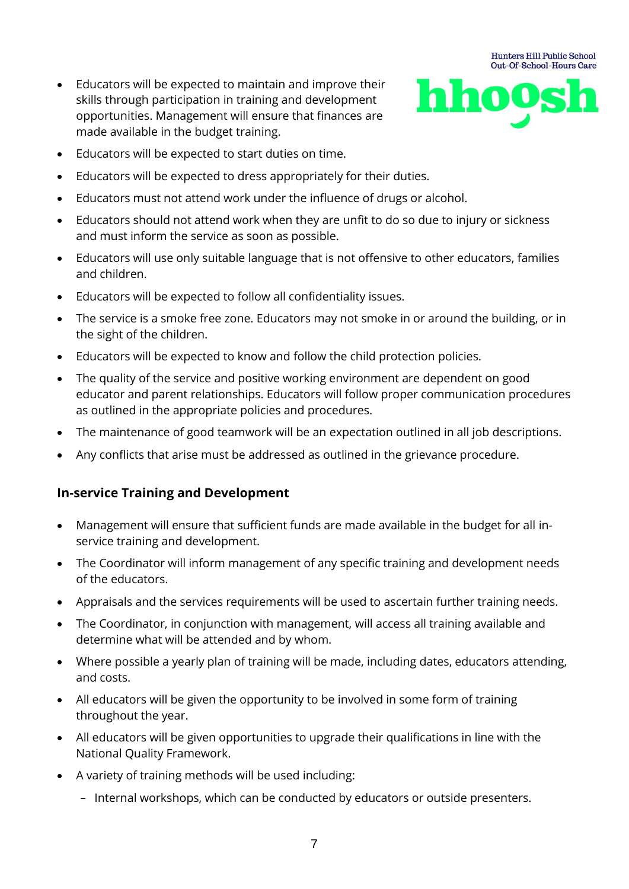• Educators will be expected to maintain and improve their skills through participation in training and development opportunities. Management will ensure that finances are made available in the budget training.



- Educators will be expected to start duties on time.
- Educators will be expected to dress appropriately for their duties.
- Educators must not attend work under the influence of drugs or alcohol.
- Educators should not attend work when they are unfit to do so due to injury or sickness and must inform the service as soon as possible.
- Educators will use only suitable language that is not offensive to other educators, families and children.
- Educators will be expected to follow all confidentiality issues.
- The service is a smoke free zone. Educators may not smoke in or around the building, or in the sight of the children.
- Educators will be expected to know and follow the child protection policies.
- The quality of the service and positive working environment are dependent on good educator and parent relationships. Educators will follow proper communication procedures as outlined in the appropriate policies and procedures.
- The maintenance of good teamwork will be an expectation outlined in all job descriptions.
- Any conflicts that arise must be addressed as outlined in the grievance procedure.

#### **In-service Training and Development**

- Management will ensure that sufficient funds are made available in the budget for all inservice training and development.
- The Coordinator will inform management of any specific training and development needs of the educators.
- Appraisals and the services requirements will be used to ascertain further training needs.
- The Coordinator, in conjunction with management, will access all training available and determine what will be attended and by whom.
- Where possible a yearly plan of training will be made, including dates, educators attending, and costs.
- All educators will be given the opportunity to be involved in some form of training throughout the year.
- All educators will be given opportunities to upgrade their qualifications in line with the National Quality Framework.
- A variety of training methods will be used including:
	- Internal workshops, which can be conducted by educators or outside presenters.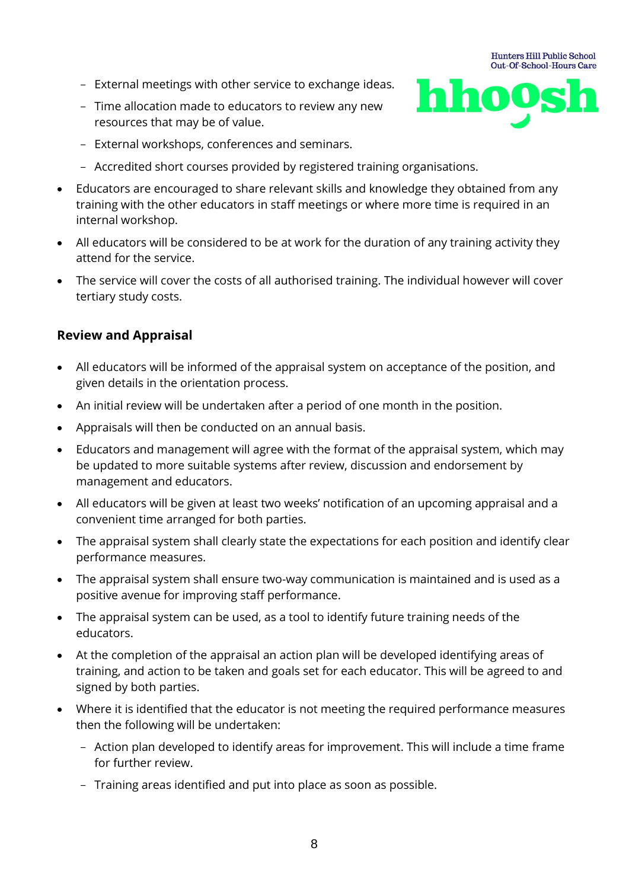- External meetings with other service to exchange ideas.
- Time allocation made to educators to review any new resources that may be of value.



- External workshops, conferences and seminars.
- Accredited short courses provided by registered training organisations.
- Educators are encouraged to share relevant skills and knowledge they obtained from any training with the other educators in staff meetings or where more time is required in an internal workshop.
- All educators will be considered to be at work for the duration of any training activity they attend for the service.
- The service will cover the costs of all authorised training. The individual however will cover tertiary study costs.

#### **Review and Appraisal**

- All educators will be informed of the appraisal system on acceptance of the position, and given details in the orientation process.
- An initial review will be undertaken after a period of one month in the position.
- Appraisals will then be conducted on an annual basis.
- Educators and management will agree with the format of the appraisal system, which may be updated to more suitable systems after review, discussion and endorsement by management and educators.
- All educators will be given at least two weeks' notification of an upcoming appraisal and a convenient time arranged for both parties.
- The appraisal system shall clearly state the expectations for each position and identify clear performance measures.
- The appraisal system shall ensure two-way communication is maintained and is used as a positive avenue for improving staff performance.
- The appraisal system can be used, as a tool to identify future training needs of the educators.
- At the completion of the appraisal an action plan will be developed identifying areas of training, and action to be taken and goals set for each educator. This will be agreed to and signed by both parties.
- Where it is identified that the educator is not meeting the required performance measures then the following will be undertaken:
	- Action plan developed to identify areas for improvement. This will include a time frame for further review.
	- Training areas identified and put into place as soon as possible.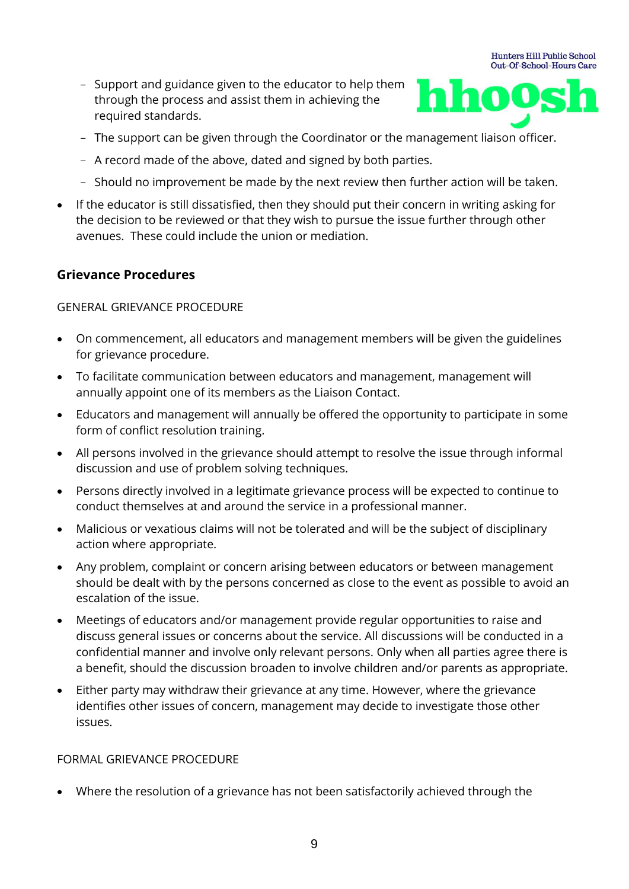- Support and guidance given to the educator to help them through the process and assist them in achieving the required standards.



- The support can be given through the Coordinator or the management liaison officer.
- A record made of the above, dated and signed by both parties.
- Should no improvement be made by the next review then further action will be taken.
- If the educator is still dissatisfied, then they should put their concern in writing asking for the decision to be reviewed or that they wish to pursue the issue further through other avenues. These could include the union or mediation.

#### **Grievance Procedures**

#### GENERAL GRIEVANCE PROCEDURE

- On commencement, all educators and management members will be given the guidelines for grievance procedure.
- To facilitate communication between educators and management, management will annually appoint one of its members as the Liaison Contact.
- Educators and management will annually be offered the opportunity to participate in some form of conflict resolution training.
- All persons involved in the grievance should attempt to resolve the issue through informal discussion and use of problem solving techniques.
- Persons directly involved in a legitimate grievance process will be expected to continue to conduct themselves at and around the service in a professional manner.
- Malicious or vexatious claims will not be tolerated and will be the subject of disciplinary action where appropriate.
- Any problem, complaint or concern arising between educators or between management should be dealt with by the persons concerned as close to the event as possible to avoid an escalation of the issue.
- Meetings of educators and/or management provide regular opportunities to raise and discuss general issues or concerns about the service. All discussions will be conducted in a confidential manner and involve only relevant persons. Only when all parties agree there is a benefit, should the discussion broaden to involve children and/or parents as appropriate.
- Either party may withdraw their grievance at any time. However, where the grievance identifies other issues of concern, management may decide to investigate those other issues.

#### FORMAL GRIEVANCE PROCEDURE

• Where the resolution of a grievance has not been satisfactorily achieved through the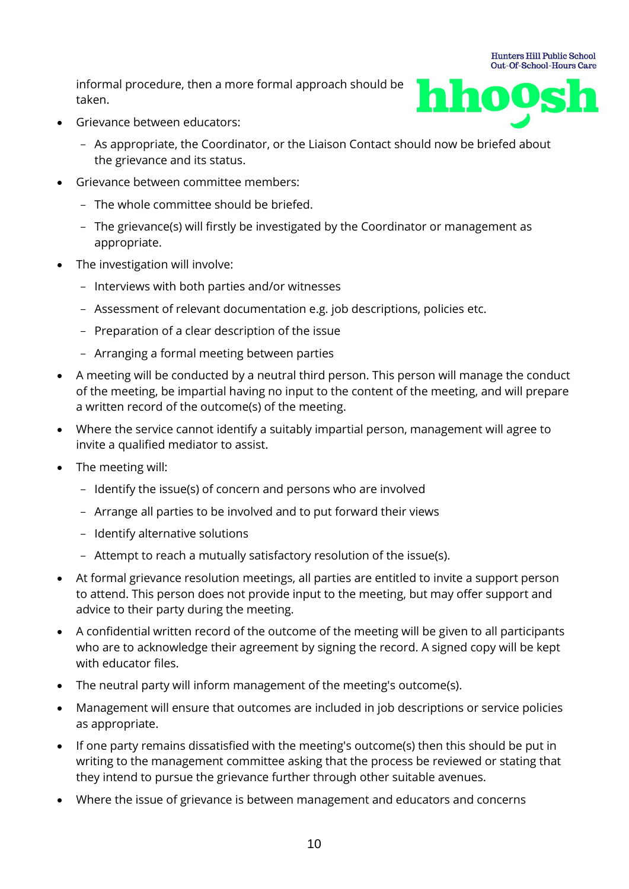informal procedure, then a more formal approach should be taken.



**Hunters Hill Public School** 

- Grievance between educators:
	- As appropriate, the Coordinator, or the Liaison Contact should now be briefed about the grievance and its status.
- Grievance between committee members:
	- The whole committee should be briefed.
	- The grievance(s) will firstly be investigated by the Coordinator or management as appropriate.
- The investigation will involve:
	- Interviews with both parties and/or witnesses
	- Assessment of relevant documentation e.g. job descriptions, policies etc.
	- Preparation of a clear description of the issue
	- Arranging a formal meeting between parties
- A meeting will be conducted by a neutral third person. This person will manage the conduct of the meeting, be impartial having no input to the content of the meeting, and will prepare a written record of the outcome(s) of the meeting.
- Where the service cannot identify a suitably impartial person, management will agree to invite a qualified mediator to assist.
- The meeting will:
	- Identify the issue(s) of concern and persons who are involved
	- Arrange all parties to be involved and to put forward their views
	- Identify alternative solutions
	- Attempt to reach a mutually satisfactory resolution of the issue(s).
- At formal grievance resolution meetings, all parties are entitled to invite a support person to attend. This person does not provide input to the meeting, but may offer support and advice to their party during the meeting.
- A confidential written record of the outcome of the meeting will be given to all participants who are to acknowledge their agreement by signing the record. A signed copy will be kept with educator files.
- The neutral party will inform management of the meeting's outcome(s).
- Management will ensure that outcomes are included in job descriptions or service policies as appropriate.
- If one party remains dissatisfied with the meeting's outcome(s) then this should be put in writing to the management committee asking that the process be reviewed or stating that they intend to pursue the grievance further through other suitable avenues.
- Where the issue of grievance is between management and educators and concerns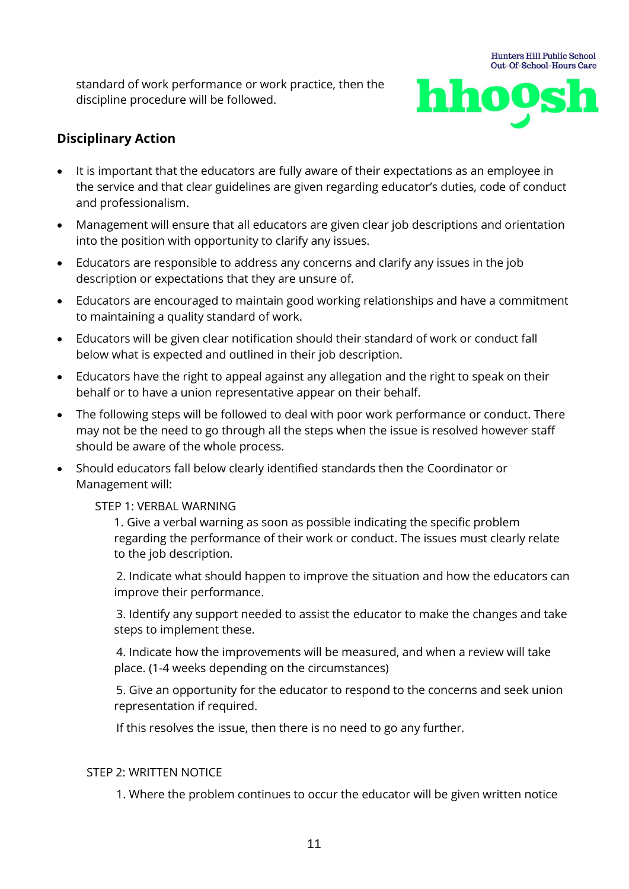standard of work performance or work practice, then the discipline procedure will be followed.



# **Disciplinary Action**

- It is important that the educators are fully aware of their expectations as an employee in the service and that clear guidelines are given regarding educator's duties, code of conduct and professionalism.
- Management will ensure that all educators are given clear job descriptions and orientation into the position with opportunity to clarify any issues.
- Educators are responsible to address any concerns and clarify any issues in the job description or expectations that they are unsure of.
- Educators are encouraged to maintain good working relationships and have a commitment to maintaining a quality standard of work.
- Educators will be given clear notification should their standard of work or conduct fall below what is expected and outlined in their job description.
- Educators have the right to appeal against any allegation and the right to speak on their behalf or to have a union representative appear on their behalf.
- The following steps will be followed to deal with poor work performance or conduct. There may not be the need to go through all the steps when the issue is resolved however staff should be aware of the whole process.
- Should educators fall below clearly identified standards then the Coordinator or Management will:

#### STEP 1: VERBAL WARNING

1. Give a verbal warning as soon as possible indicating the specific problem regarding the performance of their work or conduct. The issues must clearly relate to the job description.

2. Indicate what should happen to improve the situation and how the educators can improve their performance.

3. Identify any support needed to assist the educator to make the changes and take steps to implement these.

4. Indicate how the improvements will be measured, and when a review will take place. (1-4 weeks depending on the circumstances)

5. Give an opportunity for the educator to respond to the concerns and seek union representation if required.

If this resolves the issue, then there is no need to go any further.

#### STEP 2: WRITTEN NOTICE

1. Where the problem continues to occur the educator will be given written notice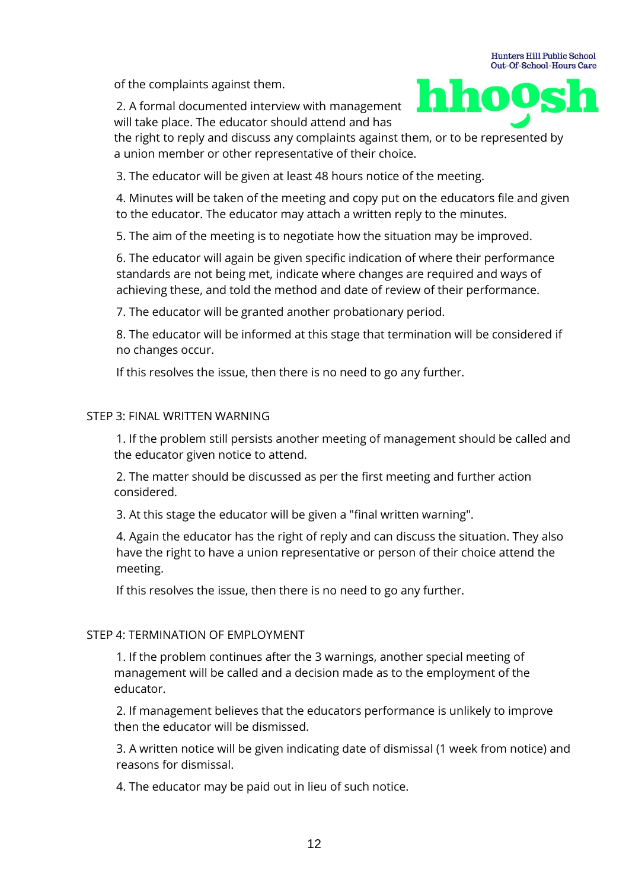of the complaints against them.

2. A formal documented interview with management will take place. The educator should attend and has



the right to reply and discuss any complaints against them, or to be represented by a union member or other representative of their choice.

3. The educator will be given at least 48 hours notice of the meeting.

4. Minutes will be taken of the meeting and copy put on the educators file and given to the educator. The educator may attach a written reply to the minutes.

5. The aim of the meeting is to negotiate how the situation may be improved.

6. The educator will again be given specific indication of where their performance standards are not being met, indicate where changes are required and ways of achieving these, and told the method and date of review of their performance.

7. The educator will be granted another probationary period.

8. The educator will be informed at this stage that termination will be considered if no changes occur.

If this resolves the issue, then there is no need to go any further.

#### STEP 3: FINAL WRITTEN WARNING

1. If the problem still persists another meeting of management should be called and the educator given notice to attend.

2. The matter should be discussed as per the first meeting and further action considered.

3. At this stage the educator will be given a "final written warning".

4. Again the educator has the right of reply and can discuss the situation. They also have the right to have a union representative or person of their choice attend the meeting.

If this resolves the issue, then there is no need to go any further.

#### STEP 4: TERMINATION OF EMPI OYMENT

1. If the problem continues after the 3 warnings, another special meeting of management will be called and a decision made as to the employment of the educator.

2. If management believes that the educators performance is unlikely to improve then the educator will be dismissed.

3. A written notice will be given indicating date of dismissal (1 week from notice) and reasons for dismissal.

4. The educator may be paid out in lieu of such notice.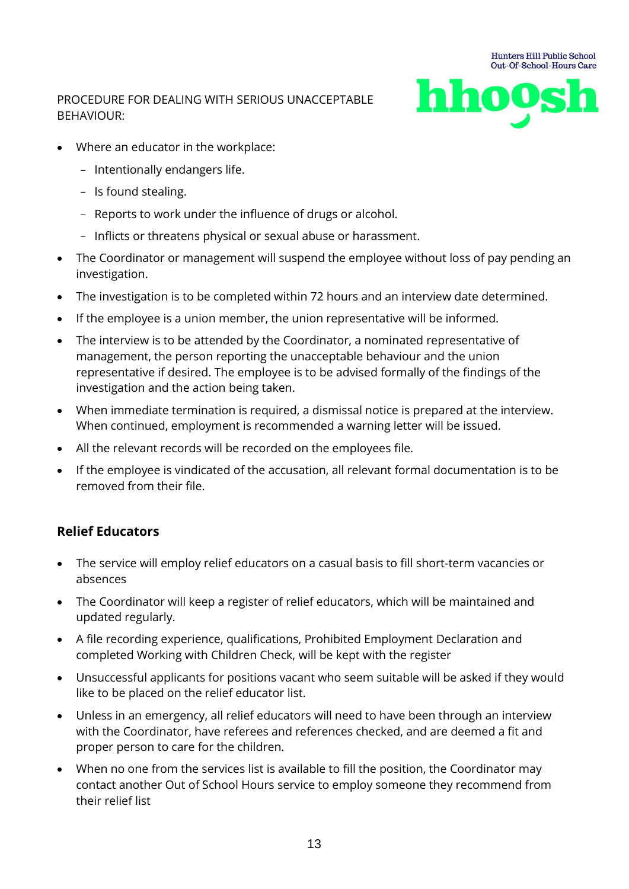#### PROCEDURE FOR DEALING WITH SERIOUS UNACCEPTABLE BEHAVIOUR:



- Where an educator in the workplace:
	- Intentionally endangers life.
	- Is found stealing.
	- Reports to work under the influence of drugs or alcohol.
	- Inflicts or threatens physical or sexual abuse or harassment.
- The Coordinator or management will suspend the employee without loss of pay pending an investigation.
- The investigation is to be completed within 72 hours and an interview date determined.
- If the employee is a union member, the union representative will be informed.
- The interview is to be attended by the Coordinator, a nominated representative of management, the person reporting the unacceptable behaviour and the union representative if desired. The employee is to be advised formally of the findings of the investigation and the action being taken.
- When immediate termination is required, a dismissal notice is prepared at the interview. When continued, employment is recommended a warning letter will be issued.
- All the relevant records will be recorded on the employees file.
- If the employee is vindicated of the accusation, all relevant formal documentation is to be removed from their file.

# **Relief Educators**

- The service will employ relief educators on a casual basis to fill short-term vacancies or absences
- The Coordinator will keep a register of relief educators, which will be maintained and updated regularly.
- A file recording experience, qualifications, Prohibited Employment Declaration and completed Working with Children Check, will be kept with the register
- Unsuccessful applicants for positions vacant who seem suitable will be asked if they would like to be placed on the relief educator list.
- Unless in an emergency, all relief educators will need to have been through an interview with the Coordinator, have referees and references checked, and are deemed a fit and proper person to care for the children.
- When no one from the services list is available to fill the position, the Coordinator may contact another Out of School Hours service to employ someone they recommend from their relief list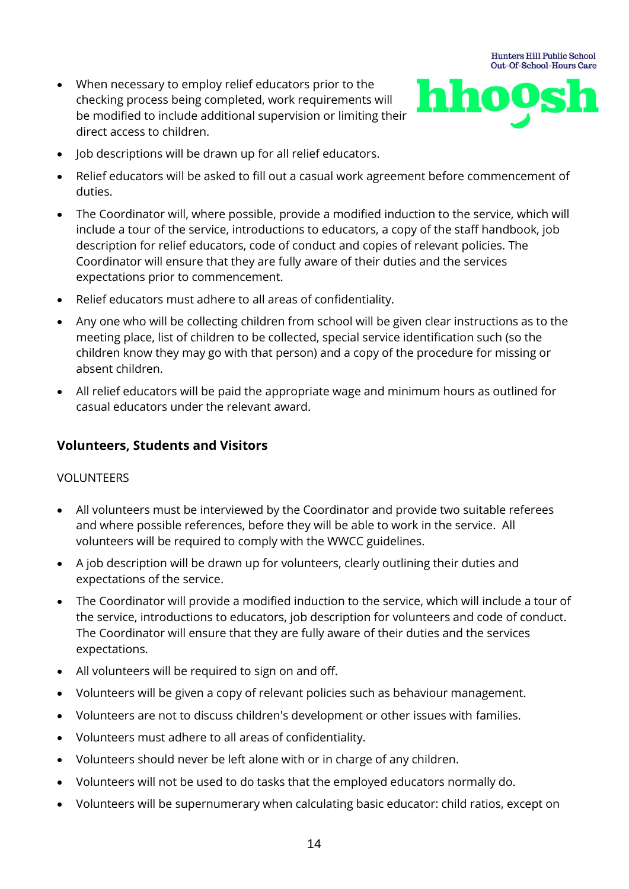• When necessary to employ relief educators prior to the checking process being completed, work requirements will be modified to include additional supervision or limiting their direct access to children.



- Job descriptions will be drawn up for all relief educators.
- Relief educators will be asked to fill out a casual work agreement before commencement of duties.
- The Coordinator will, where possible, provide a modified induction to the service, which will include a tour of the service, introductions to educators, a copy of the staff handbook, job description for relief educators, code of conduct and copies of relevant policies. The Coordinator will ensure that they are fully aware of their duties and the services expectations prior to commencement.
- Relief educators must adhere to all areas of confidentiality.
- Any one who will be collecting children from school will be given clear instructions as to the meeting place, list of children to be collected, special service identification such (so the children know they may go with that person) and a copy of the procedure for missing or absent children.
- All relief educators will be paid the appropriate wage and minimum hours as outlined for casual educators under the relevant award.

#### **Volunteers, Students and Visitors**

#### VOLUNTEERS

- All volunteers must be interviewed by the Coordinator and provide two suitable referees and where possible references, before they will be able to work in the service. All volunteers will be required to comply with the WWCC guidelines.
- A job description will be drawn up for volunteers, clearly outlining their duties and expectations of the service.
- The Coordinator will provide a modified induction to the service, which will include a tour of the service, introductions to educators, job description for volunteers and code of conduct. The Coordinator will ensure that they are fully aware of their duties and the services expectations.
- All volunteers will be required to sign on and off.
- Volunteers will be given a copy of relevant policies such as behaviour management.
- Volunteers are not to discuss children's development or other issues with families.
- Volunteers must adhere to all areas of confidentiality.
- Volunteers should never be left alone with or in charge of any children.
- Volunteers will not be used to do tasks that the employed educators normally do.
- Volunteers will be supernumerary when calculating basic educator: child ratios, except on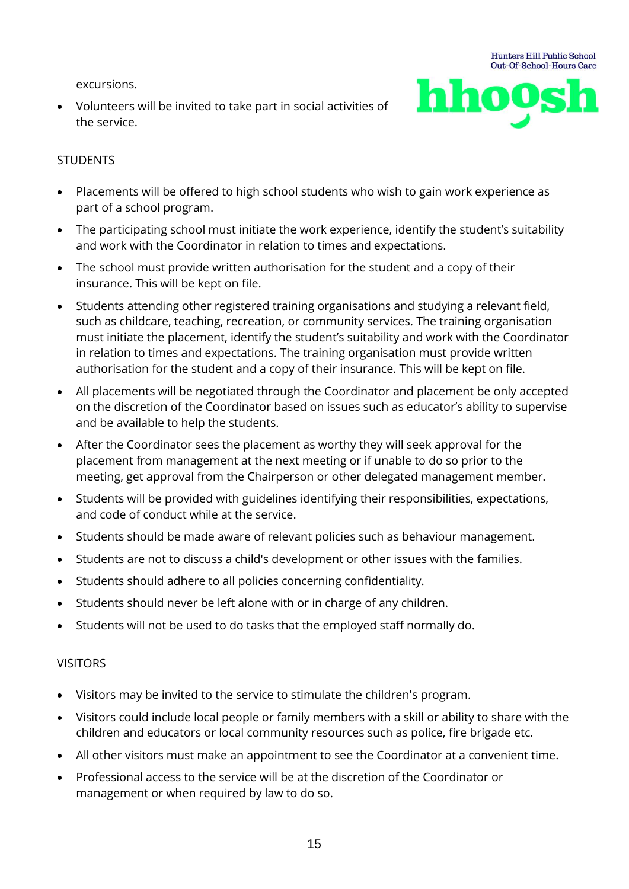excursions.

• Volunteers will be invited to take part in social activities of the service.



#### **STUDENTS**

- Placements will be offered to high school students who wish to gain work experience as part of a school program.
- The participating school must initiate the work experience, identify the student's suitability and work with the Coordinator in relation to times and expectations.
- The school must provide written authorisation for the student and a copy of their insurance. This will be kept on file.
- Students attending other registered training organisations and studying a relevant field, such as childcare, teaching, recreation, or community services. The training organisation must initiate the placement, identify the student's suitability and work with the Coordinator in relation to times and expectations. The training organisation must provide written authorisation for the student and a copy of their insurance. This will be kept on file.
- All placements will be negotiated through the Coordinator and placement be only accepted on the discretion of the Coordinator based on issues such as educator's ability to supervise and be available to help the students.
- After the Coordinator sees the placement as worthy they will seek approval for the placement from management at the next meeting or if unable to do so prior to the meeting, get approval from the Chairperson or other delegated management member.
- Students will be provided with guidelines identifying their responsibilities, expectations, and code of conduct while at the service.
- Students should be made aware of relevant policies such as behaviour management.
- Students are not to discuss a child's development or other issues with the families.
- Students should adhere to all policies concerning confidentiality.
- Students should never be left alone with or in charge of any children.
- Students will not be used to do tasks that the employed staff normally do.

#### VISITORS

- Visitors may be invited to the service to stimulate the children's program.
- Visitors could include local people or family members with a skill or ability to share with the children and educators or local community resources such as police, fire brigade etc.
- All other visitors must make an appointment to see the Coordinator at a convenient time.
- Professional access to the service will be at the discretion of the Coordinator or management or when required by law to do so.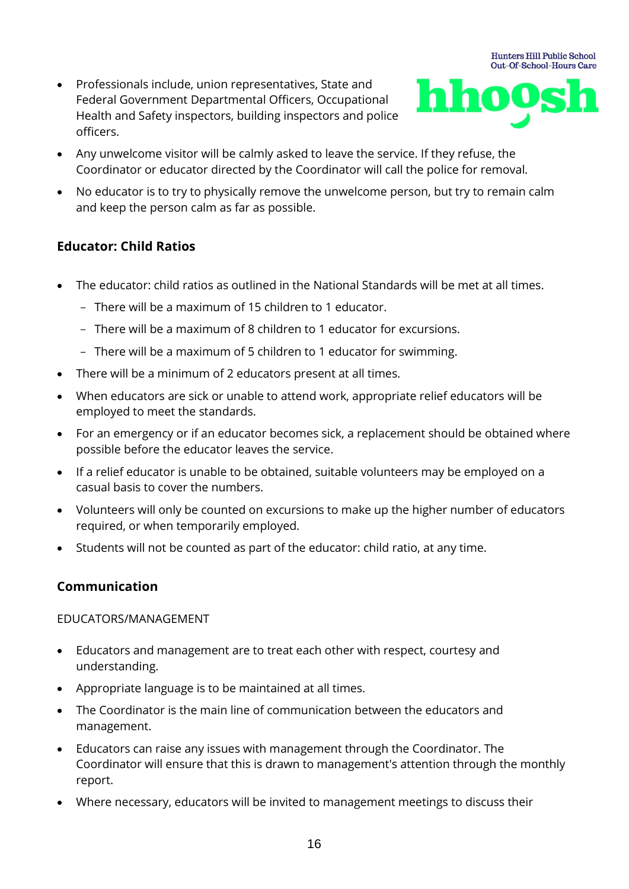• Professionals include, union representatives, State and Federal Government Departmental Officers, Occupational Health and Safety inspectors, building inspectors and police officers.



- Any unwelcome visitor will be calmly asked to leave the service. If they refuse, the Coordinator or educator directed by the Coordinator will call the police for removal.
- No educator is to try to physically remove the unwelcome person, but try to remain calm and keep the person calm as far as possible.

# **Educator: Child Ratios**

- The educator: child ratios as outlined in the National Standards will be met at all times.
	- There will be a maximum of 15 children to 1 educator.
	- There will be a maximum of 8 children to 1 educator for excursions.
	- There will be a maximum of 5 children to 1 educator for swimming.
- There will be a minimum of 2 educators present at all times.
- When educators are sick or unable to attend work, appropriate relief educators will be employed to meet the standards.
- For an emergency or if an educator becomes sick, a replacement should be obtained where possible before the educator leaves the service.
- If a relief educator is unable to be obtained, suitable volunteers may be employed on a casual basis to cover the numbers.
- Volunteers will only be counted on excursions to make up the higher number of educators required, or when temporarily employed.
- Students will not be counted as part of the educator: child ratio, at any time.

# **Communication**

#### EDUCATORS/MANAGEMENT

- Educators and management are to treat each other with respect, courtesy and understanding.
- Appropriate language is to be maintained at all times.
- The Coordinator is the main line of communication between the educators and management.
- Educators can raise any issues with management through the Coordinator. The Coordinator will ensure that this is drawn to management's attention through the monthly report.
- Where necessary, educators will be invited to management meetings to discuss their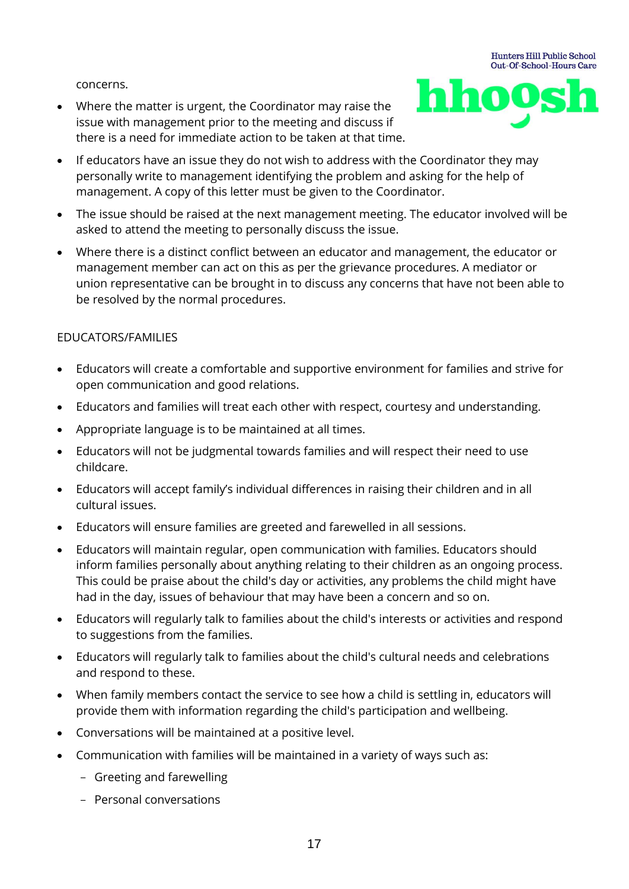concerns.

• Where the matter is urgent, the Coordinator may raise the issue with management prior to the meeting and discuss if there is a need for immediate action to be taken at that time.



- If educators have an issue they do not wish to address with the Coordinator they may personally write to management identifying the problem and asking for the help of management. A copy of this letter must be given to the Coordinator.
- The issue should be raised at the next management meeting. The educator involved will be asked to attend the meeting to personally discuss the issue.
- Where there is a distinct conflict between an educator and management, the educator or management member can act on this as per the grievance procedures. A mediator or union representative can be brought in to discuss any concerns that have not been able to be resolved by the normal procedures.

### EDUCATORS/FAMILIES

- Educators will create a comfortable and supportive environment for families and strive for open communication and good relations.
- Educators and families will treat each other with respect, courtesy and understanding.
- Appropriate language is to be maintained at all times.
- Educators will not be judgmental towards families and will respect their need to use childcare.
- Educators will accept family's individual differences in raising their children and in all cultural issues.
- Educators will ensure families are greeted and farewelled in all sessions.
- Educators will maintain regular, open communication with families. Educators should inform families personally about anything relating to their children as an ongoing process. This could be praise about the child's day or activities, any problems the child might have had in the day, issues of behaviour that may have been a concern and so on.
- Educators will regularly talk to families about the child's interests or activities and respond to suggestions from the families.
- Educators will regularly talk to families about the child's cultural needs and celebrations and respond to these.
- When family members contact the service to see how a child is settling in, educators will provide them with information regarding the child's participation and wellbeing.
- Conversations will be maintained at a positive level.
- Communication with families will be maintained in a variety of ways such as:
	- Greeting and farewelling
	- Personal conversations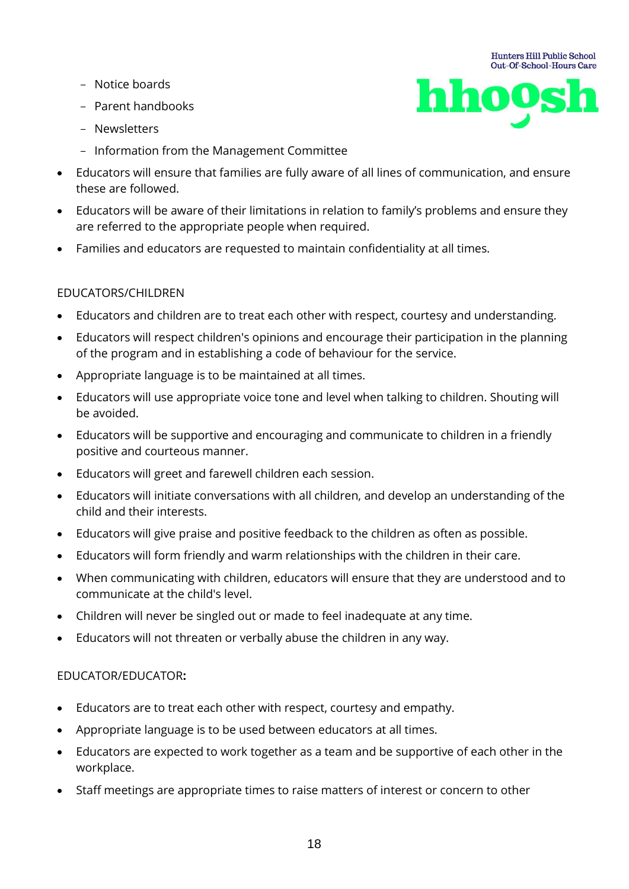- Notice boards
- Parent handbooks
- Newsletters
- Information from the Management Committee
- Educators will ensure that families are fully aware of all lines of communication, and ensure these are followed.

**Hunters Hill Public School** Out-Of-School-Hours Care

hhoos

- Educators will be aware of their limitations in relation to family's problems and ensure they are referred to the appropriate people when required.
- Families and educators are requested to maintain confidentiality at all times.

#### EDUCATORS/CHILDREN

- Educators and children are to treat each other with respect, courtesy and understanding.
- Educators will respect children's opinions and encourage their participation in the planning of the program and in establishing a code of behaviour for the service.
- Appropriate language is to be maintained at all times.
- Educators will use appropriate voice tone and level when talking to children. Shouting will be avoided.
- Educators will be supportive and encouraging and communicate to children in a friendly positive and courteous manner.
- Educators will greet and farewell children each session.
- Educators will initiate conversations with all children, and develop an understanding of the child and their interests.
- Educators will give praise and positive feedback to the children as often as possible.
- Educators will form friendly and warm relationships with the children in their care.
- When communicating with children, educators will ensure that they are understood and to communicate at the child's level.
- Children will never be singled out or made to feel inadequate at any time.
- Educators will not threaten or verbally abuse the children in any way.

#### EDUCATOR/EDUCATOR**:**

- Educators are to treat each other with respect, courtesy and empathy.
- Appropriate language is to be used between educators at all times.
- Educators are expected to work together as a team and be supportive of each other in the workplace.
- Staff meetings are appropriate times to raise matters of interest or concern to other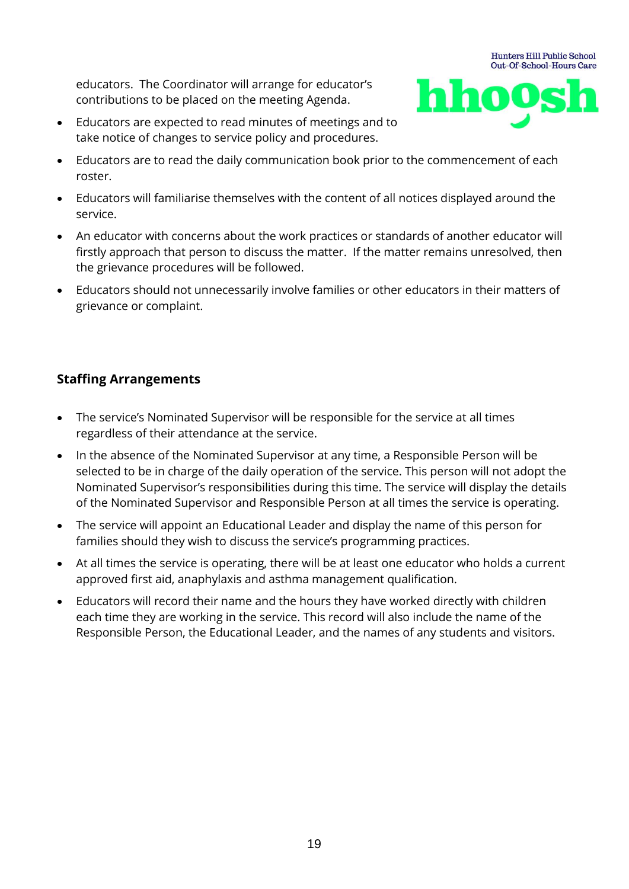educators. The Coordinator will arrange for educator's contributions to be placed on the meeting Agenda.



- Educators are expected to read minutes of meetings and to take notice of changes to service policy and procedures.
- Educators are to read the daily communication book prior to the commencement of each roster.
- Educators will familiarise themselves with the content of all notices displayed around the service.
- An educator with concerns about the work practices or standards of another educator will firstly approach that person to discuss the matter. If the matter remains unresolved, then the grievance procedures will be followed.
- Educators should not unnecessarily involve families or other educators in their matters of grievance or complaint.

# **Staffing Arrangements**

- The service's Nominated Supervisor will be responsible for the service at all times regardless of their attendance at the service.
- In the absence of the Nominated Supervisor at any time, a Responsible Person will be selected to be in charge of the daily operation of the service. This person will not adopt the Nominated Supervisor's responsibilities during this time. The service will display the details of the Nominated Supervisor and Responsible Person at all times the service is operating.
- The service will appoint an Educational Leader and display the name of this person for families should they wish to discuss the service's programming practices.
- At all times the service is operating, there will be at least one educator who holds a current approved first aid, anaphylaxis and asthma management qualification.
- Educators will record their name and the hours they have worked directly with children each time they are working in the service. This record will also include the name of the Responsible Person, the Educational Leader, and the names of any students and visitors.